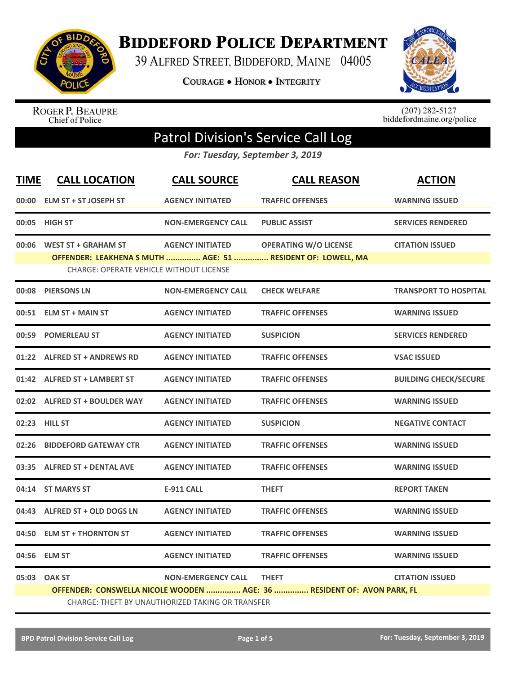

**BIDDEFORD POLICE DEPARTMENT** 

39 ALFRED STREET, BIDDEFORD, MAINE 04005

**COURAGE . HONOR . INTEGRITY** 



ROGER P. BEAUPRE<br>Chief of Police

 $(207)$  282-5127<br>biddefordmaine.org/police

## Patrol Division's Service Call Log

*For: Tuesday, September 3, 2019*

| <b>TIME</b> | <b>CALL LOCATION</b>                           | <b>CALL SOURCE</b>                               | <b>CALL REASON</b>                                                     | <b>ACTION</b>                |
|-------------|------------------------------------------------|--------------------------------------------------|------------------------------------------------------------------------|------------------------------|
|             | 00:00 ELM ST + ST JOSEPH ST                    | <b>AGENCY INITIATED</b>                          | <b>TRAFFIC OFFENSES</b>                                                | <b>WARNING ISSUED</b>        |
|             | 00:05 HIGH ST                                  | <b>NON-EMERGENCY CALL</b>                        | <b>PUBLIC ASSIST</b>                                                   | <b>SERVICES RENDERED</b>     |
|             | 00:06 WEST ST + GRAHAM ST                      | <b>AGENCY INITIATED</b>                          | <b>OPERATING W/O LICENSE</b>                                           | <b>CITATION ISSUED</b>       |
|             | <b>CHARGE: OPERATE VEHICLE WITHOUT LICENSE</b> |                                                  | OFFENDER: LEAKHENA S MUTH  AGE: 51  RESIDENT OF: LOWELL, MA            |                              |
|             | 00:08 PIERSONS LN                              | <b>NON-EMERGENCY CALL</b>                        | <b>CHECK WELFARE</b>                                                   | <b>TRANSPORT TO HOSPITAL</b> |
|             | 00:51 ELM ST + MAIN ST                         | <b>AGENCY INITIATED</b>                          | <b>TRAFFIC OFFENSES</b>                                                | <b>WARNING ISSUED</b>        |
|             | 00:59 POMERLEAU ST                             | <b>AGENCY INITIATED</b>                          | <b>SUSPICION</b>                                                       | <b>SERVICES RENDERED</b>     |
|             | 01:22 ALFRED ST + ANDREWS RD                   | <b>AGENCY INITIATED</b>                          | <b>TRAFFIC OFFENSES</b>                                                | <b>VSAC ISSUED</b>           |
|             | 01:42 ALFRED ST + LAMBERT ST                   | <b>AGENCY INITIATED</b>                          | <b>TRAFFIC OFFENSES</b>                                                | <b>BUILDING CHECK/SECURE</b> |
|             | 02:02 ALFRED ST + BOULDER WAY                  | <b>AGENCY INITIATED</b>                          | <b>TRAFFIC OFFENSES</b>                                                | <b>WARNING ISSUED</b>        |
|             | 02:23 HILL ST                                  | <b>AGENCY INITIATED</b>                          | <b>SUSPICION</b>                                                       | <b>NEGATIVE CONTACT</b>      |
|             | 02:26 BIDDEFORD GATEWAY CTR                    | <b>AGENCY INITIATED</b>                          | <b>TRAFFIC OFFENSES</b>                                                | <b>WARNING ISSUED</b>        |
|             | 03:35 ALFRED ST + DENTAL AVE                   | <b>AGENCY INITIATED</b>                          | <b>TRAFFIC OFFENSES</b>                                                | <b>WARNING ISSUED</b>        |
|             | 04:14 ST MARYS ST                              | <b>E-911 CALL</b>                                | <b>THEFT</b>                                                           | <b>REPORT TAKEN</b>          |
|             | 04:43 ALFRED ST + OLD DOGS LN                  | <b>AGENCY INITIATED</b>                          | <b>TRAFFIC OFFENSES</b>                                                | <b>WARNING ISSUED</b>        |
| 04:50       | <b>ELM ST + THORNTON ST</b>                    | <b>AGENCY INITIATED</b>                          | <b>TRAFFIC OFFENSES</b>                                                | <b>WARNING ISSUED</b>        |
|             | 04:56 ELM ST                                   | <b>AGENCY INITIATED</b>                          | <b>TRAFFIC OFFENSES</b>                                                | <b>WARNING ISSUED</b>        |
|             | 05:03 OAK ST                                   | <b>NON-EMERGENCY CALL</b>                        | <b>THEFT</b>                                                           | <b>CITATION ISSUED</b>       |
|             |                                                |                                                  | OFFENDER: CONSWELLA NICOLE WOODEN  AGE: 36  RESIDENT OF: AVON PARK, FL |                              |
|             |                                                | CHARGE: THEFT BY UNAUTHORIZED TAKING OR TRANSFER |                                                                        |                              |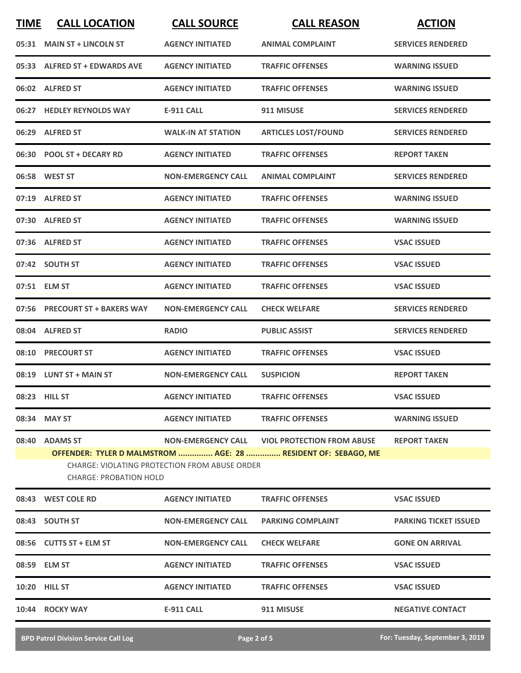| <b>TIME</b> | <b>CALL LOCATION</b>           | <b>CALL SOURCE</b>                            | <b>CALL REASON</b>                                            | <b>ACTION</b>                |
|-------------|--------------------------------|-----------------------------------------------|---------------------------------------------------------------|------------------------------|
|             | 05:31 MAIN ST + LINCOLN ST     | <b>AGENCY INITIATED</b>                       | <b>ANIMAL COMPLAINT</b>                                       | <b>SERVICES RENDERED</b>     |
|             | 05:33 ALFRED ST + EDWARDS AVE  | <b>AGENCY INITIATED</b>                       | <b>TRAFFIC OFFENSES</b>                                       | <b>WARNING ISSUED</b>        |
|             | 06:02 ALFRED ST                | <b>AGENCY INITIATED</b>                       | <b>TRAFFIC OFFENSES</b>                                       | <b>WARNING ISSUED</b>        |
|             | 06:27 HEDLEY REYNOLDS WAY      | <b>E-911 CALL</b>                             | 911 MISUSE                                                    | <b>SERVICES RENDERED</b>     |
|             | 06:29 ALFRED ST                | <b>WALK-IN AT STATION</b>                     | <b>ARTICLES LOST/FOUND</b>                                    | <b>SERVICES RENDERED</b>     |
|             | 06:30 POOL ST + DECARY RD      | <b>AGENCY INITIATED</b>                       | <b>TRAFFIC OFFENSES</b>                                       | <b>REPORT TAKEN</b>          |
|             | 06:58 WEST ST                  | <b>NON-EMERGENCY CALL</b>                     | <b>ANIMAL COMPLAINT</b>                                       | <b>SERVICES RENDERED</b>     |
|             | 07:19 ALFRED ST                | <b>AGENCY INITIATED</b>                       | <b>TRAFFIC OFFENSES</b>                                       | <b>WARNING ISSUED</b>        |
|             | 07:30 ALFRED ST                | <b>AGENCY INITIATED</b>                       | <b>TRAFFIC OFFENSES</b>                                       | <b>WARNING ISSUED</b>        |
|             | 07:36 ALFRED ST                | <b>AGENCY INITIATED</b>                       | <b>TRAFFIC OFFENSES</b>                                       | <b>VSAC ISSUED</b>           |
|             | 07:42 SOUTH ST                 | <b>AGENCY INITIATED</b>                       | <b>TRAFFIC OFFENSES</b>                                       | <b>VSAC ISSUED</b>           |
|             | 07:51 ELM ST                   | <b>AGENCY INITIATED</b>                       | <b>TRAFFIC OFFENSES</b>                                       | <b>VSAC ISSUED</b>           |
|             | 07:56 PRECOURT ST + BAKERS WAY | <b>NON-EMERGENCY CALL</b>                     | <b>CHECK WELFARE</b>                                          | <b>SERVICES RENDERED</b>     |
|             | 08:04 ALFRED ST                | <b>RADIO</b>                                  | <b>PUBLIC ASSIST</b>                                          | <b>SERVICES RENDERED</b>     |
|             | 08:10 PRECOURT ST              | <b>AGENCY INITIATED</b>                       | <b>TRAFFIC OFFENSES</b>                                       | <b>VSAC ISSUED</b>           |
|             | 08:19 LUNT ST + MAIN ST        | <b>NON-EMERGENCY CALL</b>                     | <b>SUSPICION</b>                                              | <b>REPORT TAKEN</b>          |
|             | 08:23 HILL ST                  | <b>AGENCY INITIATED</b>                       | <b>TRAFFIC OFFENSES</b>                                       | <b>VSAC ISSUED</b>           |
|             | 08:34 MAY ST                   | <b>AGENCY INITIATED</b>                       | <b>TRAFFIC OFFENSES</b>                                       | <b>WARNING ISSUED</b>        |
|             | 08:40 ADAMS ST                 |                                               | NON-EMERGENCY CALL VIOL PROTECTION FROM ABUSE                 | <b>REPORT TAKEN</b>          |
|             | CHARGE: PROBATION HOLD         | CHARGE: VIOLATING PROTECTION FROM ABUSE ORDER | OFFENDER: TYLER D MALMSTROM  AGE: 28  RESIDENT OF: SEBAGO. ME |                              |
|             | 08:43 WEST COLE RD             | <b>AGENCY INITIATED</b>                       | <b>TRAFFIC OFFENSES</b>                                       | <b>VSAC ISSUED</b>           |
|             | 08:43 SOUTH ST                 | <b>NON-EMERGENCY CALL</b>                     | <b>PARKING COMPLAINT</b>                                      | <b>PARKING TICKET ISSUED</b> |
|             | 08:56 CUTTS ST + ELM ST        | <b>NON-EMERGENCY CALL</b>                     | <b>CHECK WELFARE</b>                                          | <b>GONE ON ARRIVAL</b>       |
|             | 08:59 ELM ST                   | <b>AGENCY INITIATED</b>                       | <b>TRAFFIC OFFENSES</b>                                       | <b>VSAC ISSUED</b>           |
|             | <b>10:20 HILL ST</b>           | <b>AGENCY INITIATED</b>                       | <b>TRAFFIC OFFENSES</b>                                       | <b>VSAC ISSUED</b>           |
|             | 10:44 ROCKY WAY                | E-911 CALL                                    | 911 MISUSE                                                    | <b>NEGATIVE CONTACT</b>      |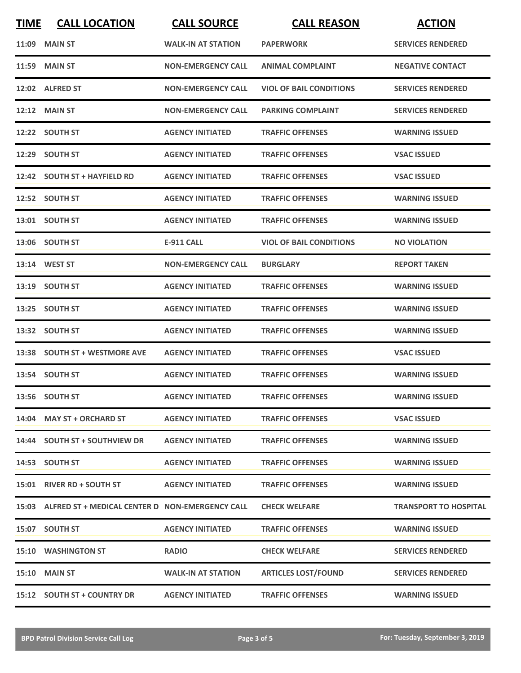| <b>TIME</b> | <b>CALL LOCATION</b>                                  | <b>CALL SOURCE</b>        | <b>CALL REASON</b>             | <b>ACTION</b>                |
|-------------|-------------------------------------------------------|---------------------------|--------------------------------|------------------------------|
|             | <b>11:09 MAIN ST</b>                                  | <b>WALK-IN AT STATION</b> | <b>PAPERWORK</b>               | <b>SERVICES RENDERED</b>     |
|             | <b>11:59 MAIN ST</b>                                  | <b>NON-EMERGENCY CALL</b> | <b>ANIMAL COMPLAINT</b>        | <b>NEGATIVE CONTACT</b>      |
|             | 12:02 ALFRED ST                                       | <b>NON-EMERGENCY CALL</b> | <b>VIOL OF BAIL CONDITIONS</b> | <b>SERVICES RENDERED</b>     |
|             | $12:12$ MAIN ST                                       | <b>NON-EMERGENCY CALL</b> | <b>PARKING COMPLAINT</b>       | <b>SERVICES RENDERED</b>     |
|             | 12:22 SOUTH ST                                        | <b>AGENCY INITIATED</b>   | <b>TRAFFIC OFFENSES</b>        | <b>WARNING ISSUED</b>        |
|             | 12:29 SOUTH ST                                        | <b>AGENCY INITIATED</b>   | <b>TRAFFIC OFFENSES</b>        | <b>VSAC ISSUED</b>           |
|             | 12:42 SOUTH ST + HAYFIELD RD                          | <b>AGENCY INITIATED</b>   | <b>TRAFFIC OFFENSES</b>        | <b>VSAC ISSUED</b>           |
|             | 12:52 SOUTH ST                                        | <b>AGENCY INITIATED</b>   | <b>TRAFFIC OFFENSES</b>        | <b>WARNING ISSUED</b>        |
|             | 13:01 SOUTH ST                                        | <b>AGENCY INITIATED</b>   | <b>TRAFFIC OFFENSES</b>        | <b>WARNING ISSUED</b>        |
|             | 13:06 SOUTH ST                                        | <b>E-911 CALL</b>         | <b>VIOL OF BAIL CONDITIONS</b> | <b>NO VIOLATION</b>          |
|             | 13:14 WEST ST                                         | <b>NON-EMERGENCY CALL</b> | <b>BURGLARY</b>                | <b>REPORT TAKEN</b>          |
|             | 13:19 SOUTH ST                                        | <b>AGENCY INITIATED</b>   | <b>TRAFFIC OFFENSES</b>        | <b>WARNING ISSUED</b>        |
|             | 13:25 SOUTH ST                                        | <b>AGENCY INITIATED</b>   | <b>TRAFFIC OFFENSES</b>        | <b>WARNING ISSUED</b>        |
|             | 13:32 SOUTH ST                                        | <b>AGENCY INITIATED</b>   | <b>TRAFFIC OFFENSES</b>        | <b>WARNING ISSUED</b>        |
|             | 13:38 SOUTH ST + WESTMORE AVE                         | <b>AGENCY INITIATED</b>   | <b>TRAFFIC OFFENSES</b>        | <b>VSAC ISSUED</b>           |
|             | 13:54 SOUTH ST                                        | <b>AGENCY INITIATED</b>   | <b>TRAFFIC OFFENSES</b>        | <b>WARNING ISSUED</b>        |
|             | 13:56 SOUTH ST                                        | <b>AGENCY INITIATED</b>   | <b>TRAFFIC OFFENSES</b>        | <b>WARNING ISSUED</b>        |
|             | 14:04 MAY ST + ORCHARD ST                             | <b>AGENCY INITIATED</b>   | <b>TRAFFIC OFFENSES</b>        | <b>VSAC ISSUED</b>           |
|             | 14:44 SOUTH ST + SOUTHVIEW DR                         | <b>AGENCY INITIATED</b>   | <b>TRAFFIC OFFENSES</b>        | <b>WARNING ISSUED</b>        |
|             | 14:53 SOUTH ST                                        | <b>AGENCY INITIATED</b>   | <b>TRAFFIC OFFENSES</b>        | <b>WARNING ISSUED</b>        |
|             | 15:01 RIVER RD + SOUTH ST                             | <b>AGENCY INITIATED</b>   | <b>TRAFFIC OFFENSES</b>        | <b>WARNING ISSUED</b>        |
|             | 15:03 ALFRED ST + MEDICAL CENTER D NON-EMERGENCY CALL |                           | <b>CHECK WELFARE</b>           | <b>TRANSPORT TO HOSPITAL</b> |
|             | 15:07 SOUTH ST                                        | <b>AGENCY INITIATED</b>   | <b>TRAFFIC OFFENSES</b>        | <b>WARNING ISSUED</b>        |
|             | <b>15:10 WASHINGTON ST</b>                            | <b>RADIO</b>              | <b>CHECK WELFARE</b>           | <b>SERVICES RENDERED</b>     |
|             | <b>15:10 MAIN ST</b>                                  | <b>WALK-IN AT STATION</b> | <b>ARTICLES LOST/FOUND</b>     | <b>SERVICES RENDERED</b>     |
|             | 15:12 SOUTH ST + COUNTRY DR                           | <b>AGENCY INITIATED</b>   | <b>TRAFFIC OFFENSES</b>        | <b>WARNING ISSUED</b>        |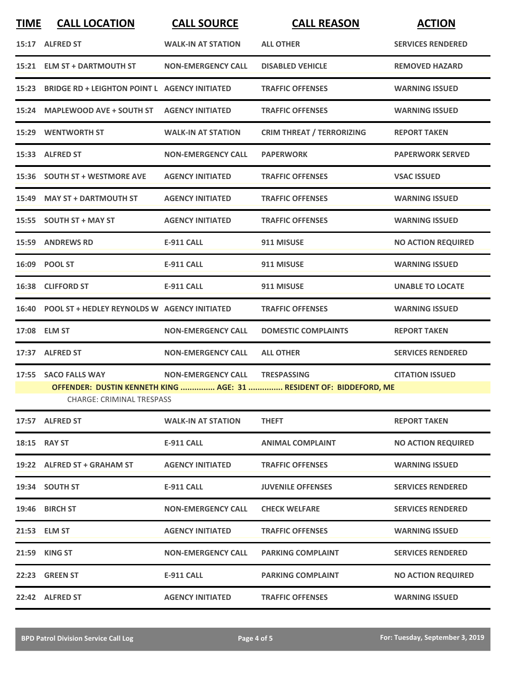| <b>TIME</b> | <b>CALL LOCATION</b>                                | <b>CALL SOURCE</b>             | <b>CALL REASON</b>                                                 | <b>ACTION</b>             |
|-------------|-----------------------------------------------------|--------------------------------|--------------------------------------------------------------------|---------------------------|
|             | 15:17 ALFRED ST                                     | <b>WALK-IN AT STATION</b>      | <b>ALL OTHER</b>                                                   | <b>SERVICES RENDERED</b>  |
|             | 15:21 ELM ST + DARTMOUTH ST                         | <b>NON-EMERGENCY CALL</b>      | <b>DISABLED VEHICLE</b>                                            | <b>REMOVED HAZARD</b>     |
|             | 15:23 BRIDGE RD + LEIGHTON POINT L AGENCY INITIATED |                                | <b>TRAFFIC OFFENSES</b>                                            | <b>WARNING ISSUED</b>     |
|             | 15:24 MAPLEWOOD AVE + SOUTH ST                      | <b>AGENCY INITIATED</b>        | <b>TRAFFIC OFFENSES</b>                                            | <b>WARNING ISSUED</b>     |
|             | <b>15:29 WENTWORTH ST</b>                           | <b>WALK-IN AT STATION</b>      | <b>CRIM THREAT / TERRORIZING</b>                                   | <b>REPORT TAKEN</b>       |
|             | 15:33 ALFRED ST                                     | <b>NON-EMERGENCY CALL</b>      | <b>PAPERWORK</b>                                                   | <b>PAPERWORK SERVED</b>   |
|             | 15:36 SOUTH ST + WESTMORE AVE                       | <b>AGENCY INITIATED</b>        | <b>TRAFFIC OFFENSES</b>                                            | <b>VSAC ISSUED</b>        |
|             | 15:49 MAY ST + DARTMOUTH ST                         | <b>AGENCY INITIATED</b>        | <b>TRAFFIC OFFENSES</b>                                            | <b>WARNING ISSUED</b>     |
|             | 15:55 SOUTH ST + MAY ST                             | <b>AGENCY INITIATED</b>        | <b>TRAFFIC OFFENSES</b>                                            | <b>WARNING ISSUED</b>     |
|             | 15:59 ANDREWS RD                                    | <b>E-911 CALL</b>              | 911 MISUSE                                                         | <b>NO ACTION REQUIRED</b> |
|             | 16:09 POOL ST                                       | <b>E-911 CALL</b>              | 911 MISUSE                                                         | <b>WARNING ISSUED</b>     |
|             | 16:38 CLIFFORD ST                                   | <b>E-911 CALL</b>              | 911 MISUSE                                                         | <b>UNABLE TO LOCATE</b>   |
|             | 16:40 POOL ST + HEDLEY REYNOLDS W AGENCY INITIATED  |                                | <b>TRAFFIC OFFENSES</b>                                            | <b>WARNING ISSUED</b>     |
|             | 17:08 ELM ST                                        | <b>NON-EMERGENCY CALL</b>      | <b>DOMESTIC COMPLAINTS</b>                                         | <b>REPORT TAKEN</b>       |
|             | 17:37 ALFRED ST                                     | <b>NON-EMERGENCY CALL</b>      | <b>ALL OTHER</b>                                                   | <b>SERVICES RENDERED</b>  |
|             | 17:55 SACO FALLS WAY                                | NON-EMERGENCY CALL TRESPASSING |                                                                    | <b>CITATION ISSUED</b>    |
|             | <b>CHARGE: CRIMINAL TRESPASS</b>                    |                                | OFFENDER: DUSTIN KENNETH KING  AGE: 31  RESIDENT OF: BIDDEFORD, ME |                           |
|             | 17:57 ALFRED ST                                     | <b>WALK-IN AT STATION</b>      | <b>THEFT</b>                                                       | <b>REPORT TAKEN</b>       |
|             | 18:15 RAY ST                                        | <b>E-911 CALL</b>              | <b>ANIMAL COMPLAINT</b>                                            | <b>NO ACTION REQUIRED</b> |
|             | 19:22 ALFRED ST + GRAHAM ST                         | <b>AGENCY INITIATED</b>        | <b>TRAFFIC OFFENSES</b>                                            | <b>WARNING ISSUED</b>     |
|             | 19:34 SOUTH ST                                      | <b>E-911 CALL</b>              | <b>JUVENILE OFFENSES</b>                                           | <b>SERVICES RENDERED</b>  |
|             | 19:46 BIRCH ST                                      | <b>NON-EMERGENCY CALL</b>      | <b>CHECK WELFARE</b>                                               | <b>SERVICES RENDERED</b>  |
|             | 21:53 ELM ST                                        | <b>AGENCY INITIATED</b>        | <b>TRAFFIC OFFENSES</b>                                            | <b>WARNING ISSUED</b>     |
|             | 21:59 KING ST                                       | <b>NON-EMERGENCY CALL</b>      | <b>PARKING COMPLAINT</b>                                           | <b>SERVICES RENDERED</b>  |
|             | 22:23 GREEN ST                                      | <b>E-911 CALL</b>              | <b>PARKING COMPLAINT</b>                                           | <b>NO ACTION REQUIRED</b> |
|             | 22:42 ALFRED ST                                     | <b>AGENCY INITIATED</b>        | <b>TRAFFIC OFFENSES</b>                                            | <b>WARNING ISSUED</b>     |